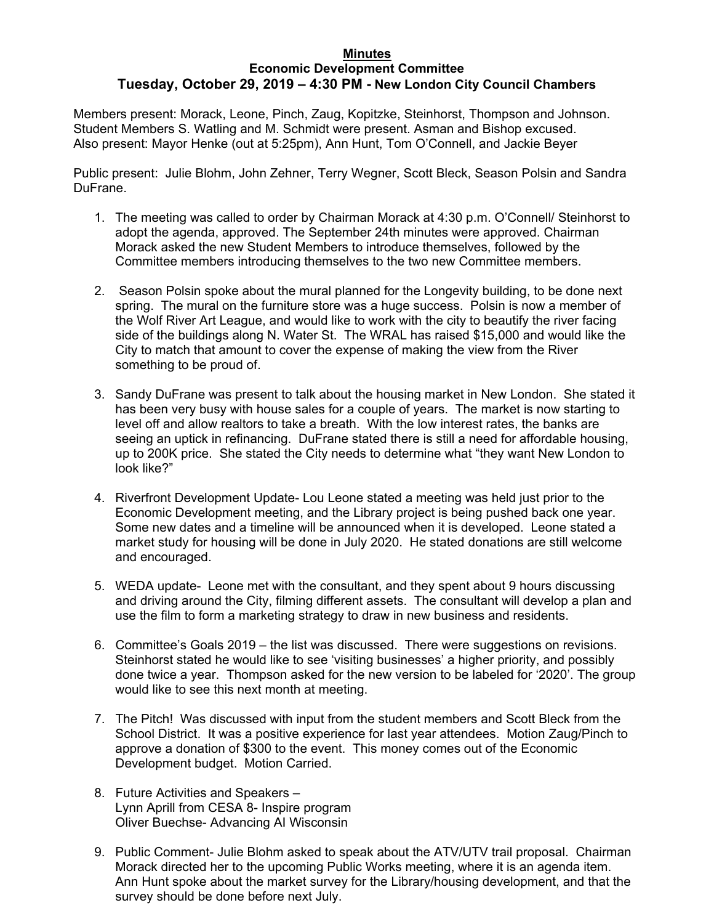## **Minutes Economic Development Committee Tuesday, October 29, 2019 – 4:30 PM - New London City Council Chambers**

Members present: Morack, Leone, Pinch, Zaug, Kopitzke, Steinhorst, Thompson and Johnson. Student Members S. Watling and M. Schmidt were present. Asman and Bishop excused. Also present: Mayor Henke (out at 5:25pm), Ann Hunt, Tom O'Connell, and Jackie Beyer

Public present: Julie Blohm, John Zehner, Terry Wegner, Scott Bleck, Season Polsin and Sandra DuFrane.

- 1. The meeting was called to order by Chairman Morack at 4:30 p.m. O'Connell/ Steinhorst to adopt the agenda, approved. The September 24th minutes were approved. Chairman Morack asked the new Student Members to introduce themselves, followed by the Committee members introducing themselves to the two new Committee members.
- 2. Season Polsin spoke about the mural planned for the Longevity building, to be done next spring. The mural on the furniture store was a huge success. Polsin is now a member of the Wolf River Art League, and would like to work with the city to beautify the river facing side of the buildings along N. Water St. The WRAL has raised \$15,000 and would like the City to match that amount to cover the expense of making the view from the River something to be proud of.
- 3. Sandy DuFrane was present to talk about the housing market in New London. She stated it has been very busy with house sales for a couple of years. The market is now starting to level off and allow realtors to take a breath. With the low interest rates, the banks are seeing an uptick in refinancing. DuFrane stated there is still a need for affordable housing, up to 200K price. She stated the City needs to determine what "they want New London to look like?"
- 4. Riverfront Development Update- Lou Leone stated a meeting was held just prior to the Economic Development meeting, and the Library project is being pushed back one year. Some new dates and a timeline will be announced when it is developed. Leone stated a market study for housing will be done in July 2020. He stated donations are still welcome and encouraged.
- 5. WEDA update- Leone met with the consultant, and they spent about 9 hours discussing and driving around the City, filming different assets. The consultant will develop a plan and use the film to form a marketing strategy to draw in new business and residents.
- 6. Committee's Goals 2019 the list was discussed. There were suggestions on revisions. Steinhorst stated he would like to see 'visiting businesses' a higher priority, and possibly done twice a year. Thompson asked for the new version to be labeled for '2020'. The group would like to see this next month at meeting.
- 7. The Pitch! Was discussed with input from the student members and Scott Bleck from the School District. It was a positive experience for last year attendees. Motion Zaug/Pinch to approve a donation of \$300 to the event. This money comes out of the Economic Development budget. Motion Carried.
- 8. Future Activities and Speakers Lynn Aprill from CESA 8- Inspire program Oliver Buechse- Advancing AI Wisconsin
- 9. Public Comment- Julie Blohm asked to speak about the ATV/UTV trail proposal. Chairman Morack directed her to the upcoming Public Works meeting, where it is an agenda item. Ann Hunt spoke about the market survey for the Library/housing development, and that the survey should be done before next July.